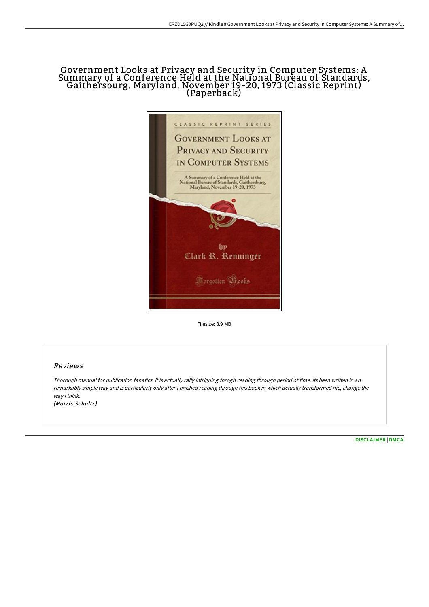## Government Looks at Privacy and Security in Computer Systems: A Summary of <sup>a</sup> Conference Held at the National Bureau of Standards, Gaithersburg, Maryland, November 19-20, <sup>1973</sup> (Classic Reprint) (Paperback)



Filesize: 3.9 MB

## Reviews

Thorough manual for publication fanatics. It is actually rally intriguing throgh reading through period of time. Its been written in an remarkably simple way and is particularly only after i finished reading through this book in which actually transformed me, change the way i think. (Morris Schultz)

[DISCLAIMER](http://techno-pub.tech/disclaimer.html) | [DMCA](http://techno-pub.tech/dmca.html)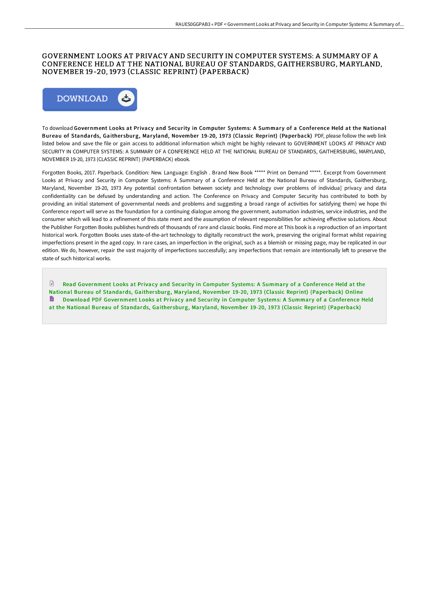## GOVERNMENT LOOKS AT PRIVACY AND SECURITY IN COMPUTER SYSTEMS: A SUMMARY OF A CONFERENCE HELD AT THE NATIONAL BUREAU OF STANDARDS, GAITHERSBURG, MARYLAND, NOVEMBER 19-20, 1973 (CLASSIC REPRINT) (PAPERBACK)



To download Government Looks at Privacy and Security in Computer Systems: A Summary of a Conference Held at the National Bureau of Standards, Gaithersburg, Maryland, November 19-20, 1973 (Classic Reprint) (Paperback) PDF, please follow the web link listed below and save the file or gain access to additional information which might be highly relevant to GOVERNMENT LOOKS AT PRIVACY AND SECURITY IN COMPUTER SYSTEMS: A SUMMARY OF A CONFERENCE HELD AT THE NATIONAL BUREAU OF STANDARDS, GAITHERSBURG, MARYLAND, NOVEMBER 19-20, 1973 (CLASSIC REPRINT) (PAPERBACK) ebook.

Forgotten Books, 2017. Paperback. Condition: New. Language: English . Brand New Book \*\*\*\*\* Print on Demand \*\*\*\*\*. Excerpt from Government Looks at Privacy and Security in Computer Systems: A Summary of a Conference Held at the National Bureau of Standards, Gaithersburg, Maryland, November 19-20, 1973 Any potential confrontation between society and technology over problems of individua] privacy and data confidentiality can be defused by understanding and action. The Conference on Privacy and Computer Security has contributed to both by providing an initial statement of governmental needs and problems and suggesting a broad range of activities for satisfying them} we hope thi Conference report will serve as the foundation for a continuing dialogue among the government, automation industries, service industries, and the consumer which wili lead to a refinement of this state ment and the assumption of relevant responsibilities for achieving effective so1utions. About the Publisher Forgotten Books publishes hundreds of thousands of rare and classic books. Find more at This book is a reproduction of an important historical work. Forgotten Books uses state-of-the-art technology to digitally reconstruct the work, preserving the original format whilst repairing imperfections present in the aged copy. In rare cases, an imperfection in the original, such as a blemish or missing page, may be replicated in our edition. We do, however, repair the vast majority of imperfections successfully; any imperfections that remain are intentionally left to preserve the state of such historical works.

 $\mathbb{R}$ Read [Government](http://techno-pub.tech/government-looks-at-privacy-and-security-in-comp.html) Looks at Privacy and Security in Computer Systems: A Summary of a Conference Held at the National Bureau of Standards, Gaithersburg, Maryland, November 19-20, 1973 (Classic Reprint) (Paperback) Online Download PDF [Government](http://techno-pub.tech/government-looks-at-privacy-and-security-in-comp.html) Looks at Privacy and Security in Computer Systems: A Summary of a Conference Held at the National Bureau of Standards, Gaithersburg, Maryland, November 19-20, 1973 (Classic Reprint) (Paperback)